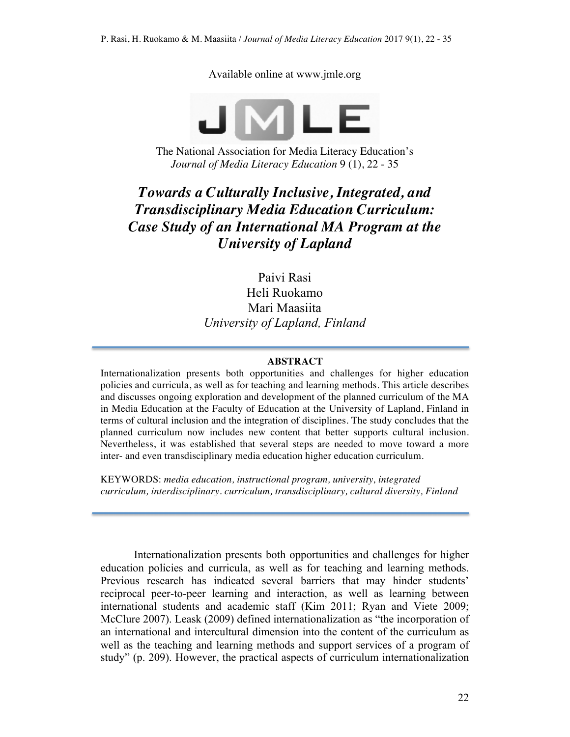Available online at www.jmle.org



The National Association for Media Literacy Education's *Journal of Media Literacy Education* 9 (1), 22 - 35

# *Towards a Culturally Inclusive, Integrated, and Transdisciplinary Media Education Curriculum: Case Study of an International MA Program at the University of Lapland*

Paivi Rasi Heli Ruokamo Mari Maasiita *University of Lapland, Finland*

### **ABSTRACT**

Internationalization presents both opportunities and challenges for higher education policies and curricula, as well as for teaching and learning methods. This article describes and discusses ongoing exploration and development of the planned curriculum of the MA in Media Education at the Faculty of Education at the University of Lapland, Finland in terms of cultural inclusion and the integration of disciplines. The study concludes that the planned curriculum now includes new content that better supports cultural inclusion. Nevertheless, it was established that several steps are needed to move toward a more inter- and even transdisciplinary media education higher education curriculum.

KEYWORDS: *media education, instructional program, university, integrated curriculum, interdisciplinary. curriculum, transdisciplinary, cultural diversity, Finland*

Internationalization presents both opportunities and challenges for higher education policies and curricula, as well as for teaching and learning methods. Previous research has indicated several barriers that may hinder students' reciprocal peer-to-peer learning and interaction, as well as learning between international students and academic staff (Kim 2011; Ryan and Viete 2009; McClure 2007). Leask (2009) defined internationalization as "the incorporation of an international and intercultural dimension into the content of the curriculum as well as the teaching and learning methods and support services of a program of study" (p. 209). However, the practical aspects of curriculum internationalization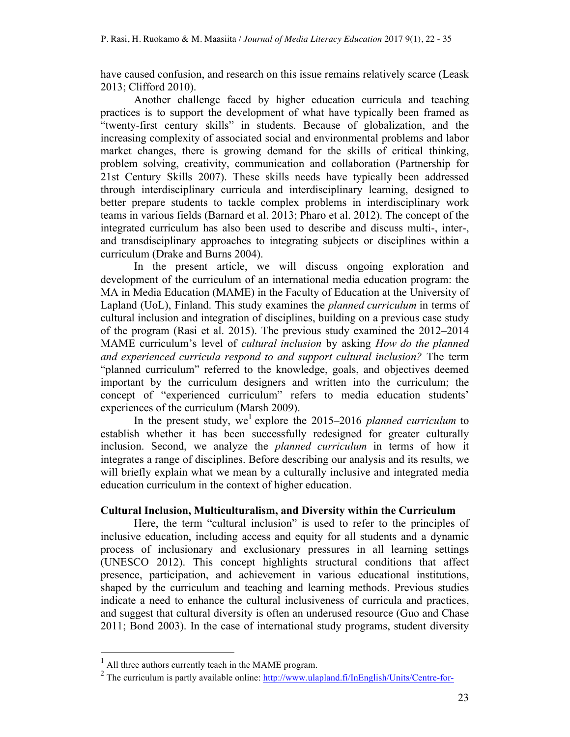have caused confusion, and research on this issue remains relatively scarce (Leask 2013; Clifford 2010).

Another challenge faced by higher education curricula and teaching practices is to support the development of what have typically been framed as "twenty-first century skills" in students. Because of globalization, and the increasing complexity of associated social and environmental problems and labor market changes, there is growing demand for the skills of critical thinking, problem solving, creativity, communication and collaboration (Partnership for 21st Century Skills 2007). These skills needs have typically been addressed through interdisciplinary curricula and interdisciplinary learning, designed to better prepare students to tackle complex problems in interdisciplinary work teams in various fields (Barnard et al. 2013; Pharo et al. 2012). The concept of the integrated curriculum has also been used to describe and discuss multi-, inter-, and transdisciplinary approaches to integrating subjects or disciplines within a curriculum (Drake and Burns 2004).

In the present article, we will discuss ongoing exploration and development of the curriculum of an international media education program: the MA in Media Education (MAME) in the Faculty of Education at the University of Lapland (UoL), Finland. This study examines the *planned curriculum* in terms of cultural inclusion and integration of disciplines, building on a previous case study of the program (Rasi et al. 2015). The previous study examined the 2012–2014 MAME curriculum's level of *cultural inclusion* by asking *How do the planned and experienced curricula respond to and support cultural inclusion?* The term "planned curriculum" referred to the knowledge, goals, and objectives deemed important by the curriculum designers and written into the curriculum; the concept of "experienced curriculum" refers to media education students' experiences of the curriculum (Marsh 2009).

In the present study, we<sup>1</sup> explore the 2015–2016 *planned curriculum* to establish whether it has been successfully redesigned for greater culturally inclusion. Second, we analyze the *planned curriculum* in terms of how it integrates a range of disciplines. Before describing our analysis and its results, we will briefly explain what we mean by a culturally inclusive and integrated media education curriculum in the context of higher education.

# **Cultural Inclusion, Multiculturalism, and Diversity within the Curriculum**

Here, the term "cultural inclusion" is used to refer to the principles of inclusive education, including access and equity for all students and a dynamic process of inclusionary and exclusionary pressures in all learning settings (UNESCO 2012). This concept highlights structural conditions that affect presence, participation, and achievement in various educational institutions, shaped by the curriculum and teaching and learning methods. Previous studies indicate a need to enhance the cultural inclusiveness of curricula and practices, and suggest that cultural diversity is often an underused resource (Guo and Chase 2011; Bond 2003). In the case of international study programs, student diversity

 $<sup>1</sup>$  All three authors currently teach in the MAME program.</sup>

<sup>&</sup>lt;sup>2</sup> The curriculum is partly available online:  $\frac{http://www.ulapland.fi/InEnglish/Units/Centre-for-$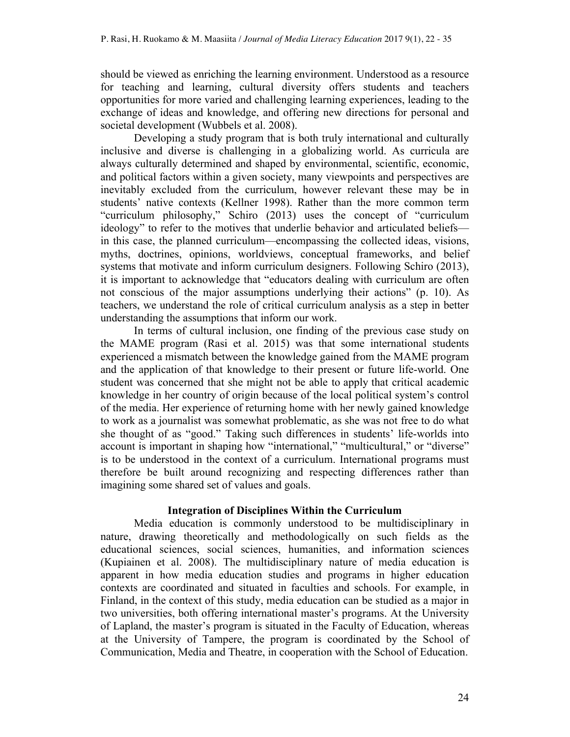should be viewed as enriching the learning environment. Understood as a resource for teaching and learning, cultural diversity offers students and teachers opportunities for more varied and challenging learning experiences, leading to the exchange of ideas and knowledge, and offering new directions for personal and societal development (Wubbels et al. 2008).

Developing a study program that is both truly international and culturally inclusive and diverse is challenging in a globalizing world. As curricula are always culturally determined and shaped by environmental, scientific, economic, and political factors within a given society, many viewpoints and perspectives are inevitably excluded from the curriculum, however relevant these may be in students' native contexts (Kellner 1998). Rather than the more common term "curriculum philosophy," Schiro (2013) uses the concept of "curriculum ideology" to refer to the motives that underlie behavior and articulated beliefs in this case, the planned curriculum—encompassing the collected ideas, visions, myths, doctrines, opinions, worldviews, conceptual frameworks, and belief systems that motivate and inform curriculum designers. Following Schiro (2013), it is important to acknowledge that "educators dealing with curriculum are often not conscious of the major assumptions underlying their actions" (p. 10). As teachers, we understand the role of critical curriculum analysis as a step in better understanding the assumptions that inform our work.

In terms of cultural inclusion, one finding of the previous case study on the MAME program (Rasi et al. 2015) was that some international students experienced a mismatch between the knowledge gained from the MAME program and the application of that knowledge to their present or future life-world. One student was concerned that she might not be able to apply that critical academic knowledge in her country of origin because of the local political system's control of the media. Her experience of returning home with her newly gained knowledge to work as a journalist was somewhat problematic, as she was not free to do what she thought of as "good." Taking such differences in students' life-worlds into account is important in shaping how "international," "multicultural," or "diverse" is to be understood in the context of a curriculum. International programs must therefore be built around recognizing and respecting differences rather than imagining some shared set of values and goals.

### **Integration of Disciplines Within the Curriculum**

Media education is commonly understood to be multidisciplinary in nature, drawing theoretically and methodologically on such fields as the educational sciences, social sciences, humanities, and information sciences (Kupiainen et al. 2008). The multidisciplinary nature of media education is apparent in how media education studies and programs in higher education contexts are coordinated and situated in faculties and schools. For example, in Finland, in the context of this study, media education can be studied as a major in two universities, both offering international master's programs. At the University of Lapland, the master's program is situated in the Faculty of Education, whereas at the University of Tampere, the program is coordinated by the School of Communication, Media and Theatre, in cooperation with the School of Education.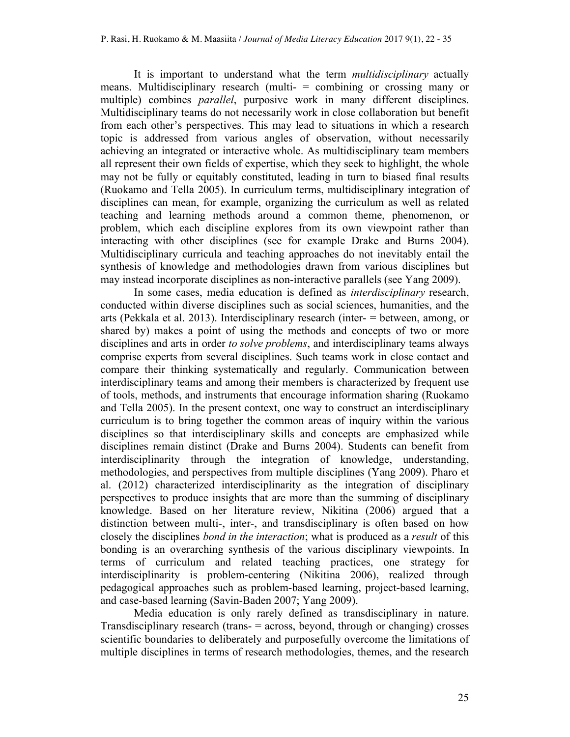It is important to understand what the term *multidisciplinary* actually means. Multidisciplinary research (multi- = combining or crossing many or multiple) combines *parallel*, purposive work in many different disciplines. Multidisciplinary teams do not necessarily work in close collaboration but benefit from each other's perspectives. This may lead to situations in which a research topic is addressed from various angles of observation, without necessarily achieving an integrated or interactive whole. As multidisciplinary team members all represent their own fields of expertise, which they seek to highlight, the whole may not be fully or equitably constituted, leading in turn to biased final results (Ruokamo and Tella 2005). In curriculum terms, multidisciplinary integration of disciplines can mean, for example, organizing the curriculum as well as related teaching and learning methods around a common theme, phenomenon, or problem, which each discipline explores from its own viewpoint rather than interacting with other disciplines (see for example Drake and Burns 2004). Multidisciplinary curricula and teaching approaches do not inevitably entail the synthesis of knowledge and methodologies drawn from various disciplines but may instead incorporate disciplines as non-interactive parallels (see Yang 2009).

In some cases, media education is defined as *interdisciplinary* research, conducted within diverse disciplines such as social sciences, humanities, and the arts (Pekkala et al. 2013). Interdisciplinary research (inter- = between, among, or shared by) makes a point of using the methods and concepts of two or more disciplines and arts in order *to solve problems*, and interdisciplinary teams always comprise experts from several disciplines. Such teams work in close contact and compare their thinking systematically and regularly. Communication between interdisciplinary teams and among their members is characterized by frequent use of tools, methods, and instruments that encourage information sharing (Ruokamo and Tella 2005). In the present context, one way to construct an interdisciplinary curriculum is to bring together the common areas of inquiry within the various disciplines so that interdisciplinary skills and concepts are emphasized while disciplines remain distinct (Drake and Burns 2004). Students can benefit from interdisciplinarity through the integration of knowledge, understanding, methodologies, and perspectives from multiple disciplines (Yang 2009). Pharo et al. (2012) characterized interdisciplinarity as the integration of disciplinary perspectives to produce insights that are more than the summing of disciplinary knowledge. Based on her literature review, Nikitina (2006) argued that a distinction between multi-, inter-, and transdisciplinary is often based on how closely the disciplines *bond in the interaction*; what is produced as a *result* of this bonding is an overarching synthesis of the various disciplinary viewpoints. In terms of curriculum and related teaching practices, one strategy for interdisciplinarity is problem-centering (Nikitina 2006), realized through pedagogical approaches such as problem-based learning, project-based learning, and case-based learning (Savin-Baden 2007; Yang 2009).

Media education is only rarely defined as transdisciplinary in nature. Transdisciplinary research (trans- = across, beyond, through or changing) crosses scientific boundaries to deliberately and purposefully overcome the limitations of multiple disciplines in terms of research methodologies, themes, and the research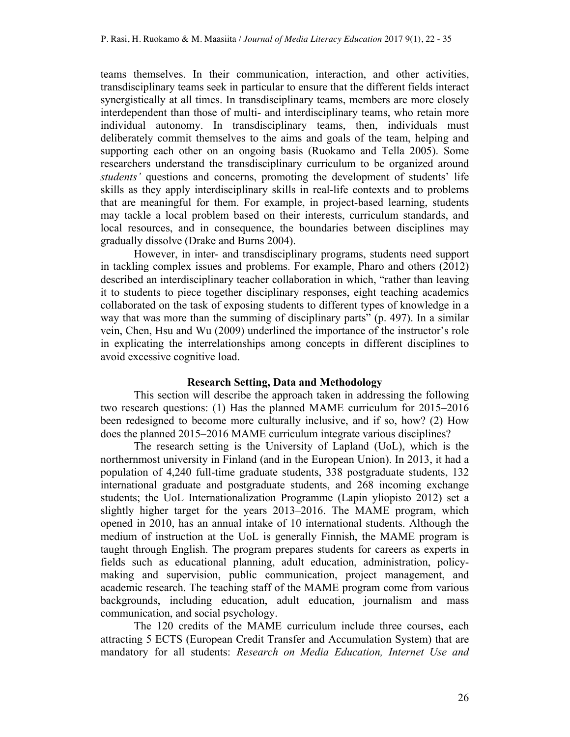teams themselves. In their communication, interaction, and other activities, transdisciplinary teams seek in particular to ensure that the different fields interact synergistically at all times. In transdisciplinary teams, members are more closely interdependent than those of multi- and interdisciplinary teams, who retain more individual autonomy. In transdisciplinary teams, then, individuals must deliberately commit themselves to the aims and goals of the team, helping and supporting each other on an ongoing basis (Ruokamo and Tella 2005). Some researchers understand the transdisciplinary curriculum to be organized around *students'* questions and concerns, promoting the development of students' life skills as they apply interdisciplinary skills in real-life contexts and to problems that are meaningful for them. For example, in project-based learning, students may tackle a local problem based on their interests, curriculum standards, and local resources, and in consequence, the boundaries between disciplines may gradually dissolve (Drake and Burns 2004).

However, in inter- and transdisciplinary programs, students need support in tackling complex issues and problems. For example, Pharo and others (2012) described an interdisciplinary teacher collaboration in which, "rather than leaving it to students to piece together disciplinary responses, eight teaching academics collaborated on the task of exposing students to different types of knowledge in a way that was more than the summing of disciplinary parts" (p. 497). In a similar vein, Chen, Hsu and Wu (2009) underlined the importance of the instructor's role in explicating the interrelationships among concepts in different disciplines to avoid excessive cognitive load.

### **Research Setting, Data and Methodology**

This section will describe the approach taken in addressing the following two research questions: (1) Has the planned MAME curriculum for 2015–2016 been redesigned to become more culturally inclusive, and if so, how? (2) How does the planned 2015–2016 MAME curriculum integrate various disciplines?

The research setting is the University of Lapland (UoL), which is the northernmost university in Finland (and in the European Union). In 2013, it had a population of 4,240 full-time graduate students, 338 postgraduate students, 132 international graduate and postgraduate students, and 268 incoming exchange students; the UoL Internationalization Programme (Lapin yliopisto 2012) set a slightly higher target for the years 2013–2016. The MAME program, which opened in 2010, has an annual intake of 10 international students. Although the medium of instruction at the UoL is generally Finnish, the MAME program is taught through English. The program prepares students for careers as experts in fields such as educational planning, adult education, administration, policymaking and supervision, public communication, project management, and academic research. The teaching staff of the MAME program come from various backgrounds, including education, adult education, journalism and mass communication, and social psychology.

The 120 credits of the MAME curriculum include three courses, each attracting 5 ECTS (European Credit Transfer and Accumulation System) that are mandatory for all students: *Research on Media Education, Internet Use and*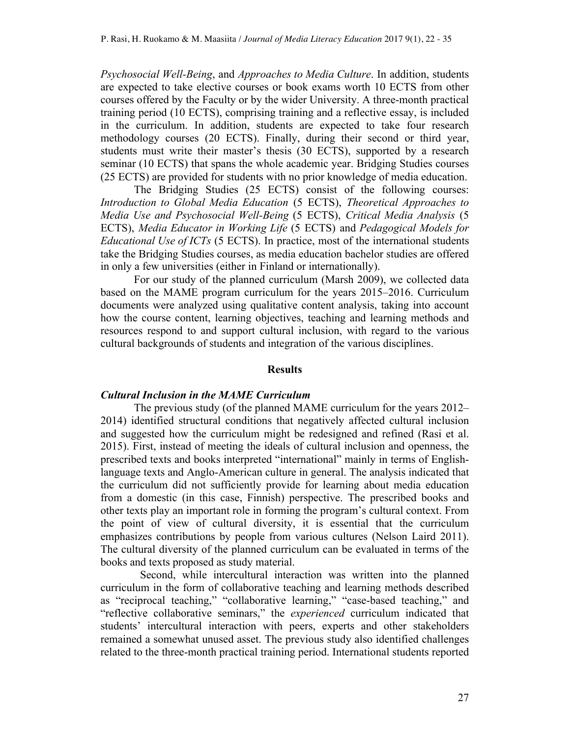*Psychosocial Well-Being*, and *Approaches to Media Culture*. In addition, students are expected to take elective courses or book exams worth 10 ECTS from other courses offered by the Faculty or by the wider University. A three-month practical training period (10 ECTS), comprising training and a reflective essay, is included in the curriculum. In addition, students are expected to take four research methodology courses (20 ECTS). Finally, during their second or third year, students must write their master's thesis (30 ECTS), supported by a research seminar (10 ECTS) that spans the whole academic year. Bridging Studies courses (25 ECTS) are provided for students with no prior knowledge of media education.

The Bridging Studies (25 ECTS) consist of the following courses: *Introduction to Global Media Education* (5 ECTS), *Theoretical Approaches to Media Use and Psychosocial Well-Being* (5 ECTS), *Critical Media Analysis* (5 ECTS), *Media Educator in Working Life* (5 ECTS) and *Pedagogical Models for Educational Use of ICTs* (5 ECTS). In practice, most of the international students take the Bridging Studies courses, as media education bachelor studies are offered in only a few universities (either in Finland or internationally).

For our study of the planned curriculum (Marsh 2009), we collected data based on the MAME program curriculum for the years 2015–2016. Curriculum documents were analyzed using qualitative content analysis, taking into account how the course content, learning objectives, teaching and learning methods and resources respond to and support cultural inclusion, with regard to the various cultural backgrounds of students and integration of the various disciplines.

## **Results**

## *Cultural Inclusion in the MAME Curriculum*

The previous study (of the planned MAME curriculum for the years 2012– 2014) identified structural conditions that negatively affected cultural inclusion and suggested how the curriculum might be redesigned and refined (Rasi et al. 2015). First, instead of meeting the ideals of cultural inclusion and openness, the prescribed texts and books interpreted "international" mainly in terms of Englishlanguage texts and Anglo-American culture in general. The analysis indicated that the curriculum did not sufficiently provide for learning about media education from a domestic (in this case, Finnish) perspective. The prescribed books and other texts play an important role in forming the program's cultural context. From the point of view of cultural diversity, it is essential that the curriculum emphasizes contributions by people from various cultures (Nelson Laird 2011). The cultural diversity of the planned curriculum can be evaluated in terms of the books and texts proposed as study material.

Second, while intercultural interaction was written into the planned curriculum in the form of collaborative teaching and learning methods described as "reciprocal teaching," "collaborative learning," "case-based teaching," and "reflective collaborative seminars," the *experienced* curriculum indicated that students' intercultural interaction with peers, experts and other stakeholders remained a somewhat unused asset. The previous study also identified challenges related to the three-month practical training period. International students reported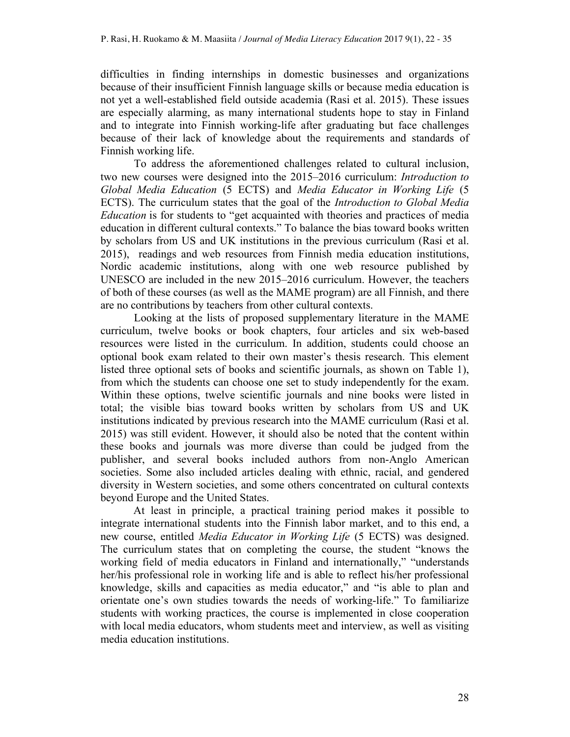difficulties in finding internships in domestic businesses and organizations because of their insufficient Finnish language skills or because media education is not yet a well-established field outside academia (Rasi et al. 2015). These issues are especially alarming, as many international students hope to stay in Finland and to integrate into Finnish working-life after graduating but face challenges because of their lack of knowledge about the requirements and standards of Finnish working life.

To address the aforementioned challenges related to cultural inclusion, two new courses were designed into the 2015–2016 curriculum: *Introduction to Global Media Education* (5 ECTS) and *Media Educator in Working Life* (5 ECTS). The curriculum states that the goal of the *Introduction to Global Media Education* is for students to "get acquainted with theories and practices of media education in different cultural contexts." To balance the bias toward books written by scholars from US and UK institutions in the previous curriculum (Rasi et al. 2015), readings and web resources from Finnish media education institutions, Nordic academic institutions, along with one web resource published by UNESCO are included in the new 2015–2016 curriculum. However, the teachers of both of these courses (as well as the MAME program) are all Finnish, and there are no contributions by teachers from other cultural contexts.

Looking at the lists of proposed supplementary literature in the MAME curriculum, twelve books or book chapters, four articles and six web-based resources were listed in the curriculum. In addition, students could choose an optional book exam related to their own master's thesis research. This element listed three optional sets of books and scientific journals, as shown on Table 1), from which the students can choose one set to study independently for the exam. Within these options, twelve scientific journals and nine books were listed in total; the visible bias toward books written by scholars from US and UK institutions indicated by previous research into the MAME curriculum (Rasi et al. 2015) was still evident. However, it should also be noted that the content within these books and journals was more diverse than could be judged from the publisher, and several books included authors from non-Anglo American societies. Some also included articles dealing with ethnic, racial, and gendered diversity in Western societies, and some others concentrated on cultural contexts beyond Europe and the United States.

At least in principle, a practical training period makes it possible to integrate international students into the Finnish labor market, and to this end, a new course, entitled *Media Educator in Working Life* (5 ECTS) was designed. The curriculum states that on completing the course, the student "knows the working field of media educators in Finland and internationally," "understands her/his professional role in working life and is able to reflect his/her professional knowledge, skills and capacities as media educator," and "is able to plan and orientate one's own studies towards the needs of working-life." To familiarize students with working practices, the course is implemented in close cooperation with local media educators, whom students meet and interview, as well as visiting media education institutions.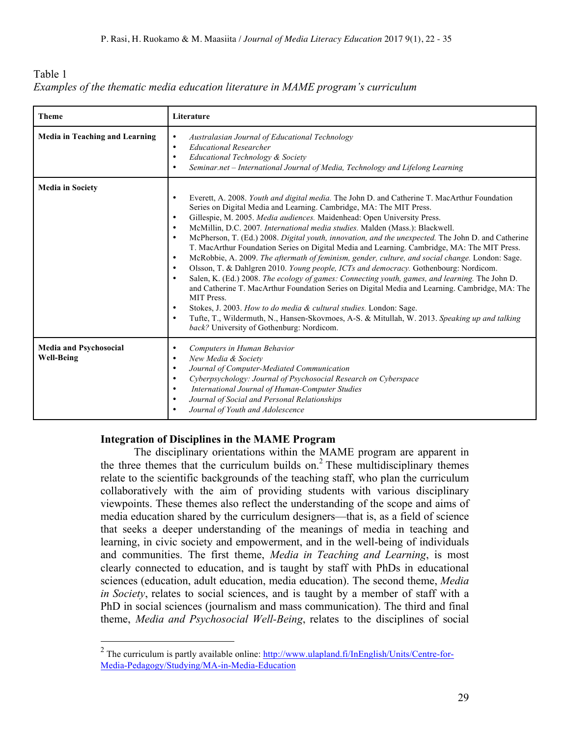| Table 1                                                                          |  |
|----------------------------------------------------------------------------------|--|
| Examples of the thematic media education literature in MAME program's curriculum |  |

| <b>Theme</b>                                       | Literature                                                                                                                                                                                                                                                                                                                                                                                                                                                                                                                                                                                                                                                                                                                                                                                                                                                                                                                                                                                                                                                                                                                                                                                                                                                                   |  |
|----------------------------------------------------|------------------------------------------------------------------------------------------------------------------------------------------------------------------------------------------------------------------------------------------------------------------------------------------------------------------------------------------------------------------------------------------------------------------------------------------------------------------------------------------------------------------------------------------------------------------------------------------------------------------------------------------------------------------------------------------------------------------------------------------------------------------------------------------------------------------------------------------------------------------------------------------------------------------------------------------------------------------------------------------------------------------------------------------------------------------------------------------------------------------------------------------------------------------------------------------------------------------------------------------------------------------------------|--|
| <b>Media in Teaching and Learning</b>              | Australasian Journal of Educational Technology<br>$\bullet$<br><b>Educational Researcher</b><br>$\bullet$<br>Educational Technology & Society<br>Seminar.net - International Journal of Media, Technology and Lifelong Learning<br>$\bullet$                                                                                                                                                                                                                                                                                                                                                                                                                                                                                                                                                                                                                                                                                                                                                                                                                                                                                                                                                                                                                                 |  |
| <b>Media in Society</b>                            | Everett, A. 2008. Youth and digital media. The John D. and Catherine T. MacArthur Foundation<br>$\bullet$<br>Series on Digital Media and Learning. Cambridge, MA: The MIT Press.<br>Gillespie, M. 2005. Media audiences. Maidenhead: Open University Press.<br>$\bullet$<br>McMillin, D.C. 2007. International media studies. Malden (Mass.): Blackwell.<br>$\bullet$<br>McPherson, T. (Ed.) 2008. Digital youth, innovation, and the unexpected. The John D. and Catherine<br>$\bullet$<br>T. MacArthur Foundation Series on Digital Media and Learning. Cambridge, MA: The MIT Press.<br>McRobbie, A. 2009. The aftermath of feminism, gender, culture, and social change. London: Sage.<br>$\bullet$<br>Olsson, T. & Dahlgren 2010. Young people, ICTs and democracy. Gothenbourg: Nordicom.<br>$\bullet$<br>Salen, K. (Ed.) 2008. The ecology of games: Connecting youth, games, and learning. The John D.<br>and Catherine T. MacArthur Foundation Series on Digital Media and Learning. Cambridge, MA: The<br>MIT Press.<br>Stokes, J. 2003. How to do media & cultural studies. London: Sage.<br>$\bullet$<br>Tufte, T., Wildermuth, N., Hansen-Skovmoes, A-S. & Mitullah, W. 2013. Speaking up and talking<br>$\bullet$<br>back? University of Gothenburg: Nordicom. |  |
| <b>Media and Psychosocial</b><br><b>Well-Being</b> | Computers in Human Behavior<br>$\bullet$<br>New Media & Society<br>$\bullet$<br>Journal of Computer-Mediated Communication<br>$\bullet$<br>Cyberpsychology: Journal of Psychosocial Research on Cyberspace<br>$\bullet$<br>International Journal of Human-Computer Studies<br>$\bullet$<br>Journal of Social and Personal Relationships<br>$\bullet$<br>Journal of Youth and Adolescence                                                                                                                                                                                                                                                                                                                                                                                                                                                                                                                                                                                                                                                                                                                                                                                                                                                                                     |  |

## **Integration of Disciplines in the MAME Program**

The disciplinary orientations within the MAME program are apparent in the three themes that the curriculum builds on.<sup>2</sup> These multidisciplinary themes relate to the scientific backgrounds of the teaching staff, who plan the curriculum collaboratively with the aim of providing students with various disciplinary viewpoints. These themes also reflect the understanding of the scope and aims of media education shared by the curriculum designers—that is, as a field of science that seeks a deeper understanding of the meanings of media in teaching and learning, in civic society and empowerment, and in the well-being of individuals and communities. The first theme, *Media in Teaching and Learning*, is most clearly connected to education, and is taught by staff with PhDs in educational sciences (education, adult education, media education). The second theme, *Media in Society*, relates to social sciences, and is taught by a member of staff with a PhD in social sciences (journalism and mass communication). The third and final theme, *Media and Psychosocial Well-Being*, relates to the disciplines of social

<sup>&</sup>lt;sup>2</sup> The curriculum is partly available online:  $\frac{http://www.ulapland.fi/InEnglish/Units/Centre-for-$ Media-Pedagogy/Studying/MA-in-Media-Education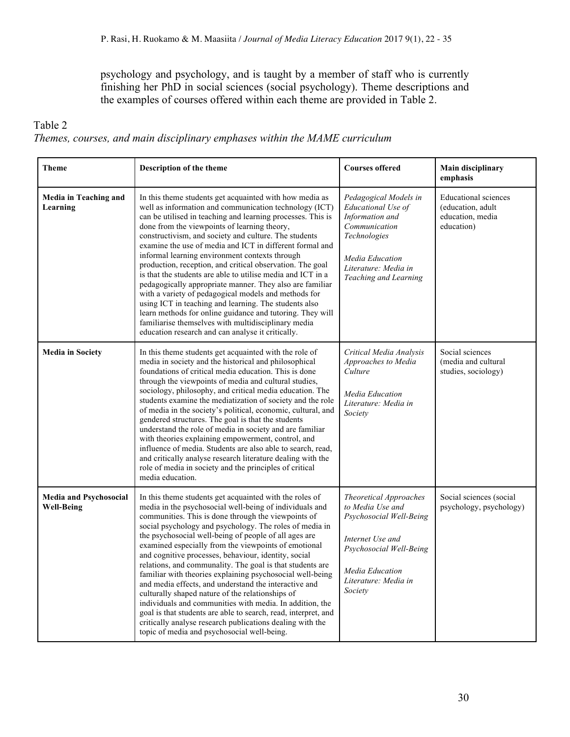psychology and psychology, and is taught by a member of staff who is currently finishing her PhD in social sciences (social psychology). Theme descriptions and the examples of courses offered within each theme are provided in Table 2.

# Table 2

# *Themes, courses, and main disciplinary emphases within the MAME curriculum*

| <b>Theme</b>                                                                                                                                                                                                                                                                                                                                                                                                                                                                                                                                                                                                                                                                                                                                                                                                                                                                                                                                  | Description of the theme                                                                                                                                                                                                                                                                                                                                                                                                                                                                                                                                                                                                                                                                                                                                                                                                                                                                  | <b>Courses offered</b>                                                                                                                                                     | <b>Main disciplinary</b><br>emphasis                                               |
|-----------------------------------------------------------------------------------------------------------------------------------------------------------------------------------------------------------------------------------------------------------------------------------------------------------------------------------------------------------------------------------------------------------------------------------------------------------------------------------------------------------------------------------------------------------------------------------------------------------------------------------------------------------------------------------------------------------------------------------------------------------------------------------------------------------------------------------------------------------------------------------------------------------------------------------------------|-------------------------------------------------------------------------------------------------------------------------------------------------------------------------------------------------------------------------------------------------------------------------------------------------------------------------------------------------------------------------------------------------------------------------------------------------------------------------------------------------------------------------------------------------------------------------------------------------------------------------------------------------------------------------------------------------------------------------------------------------------------------------------------------------------------------------------------------------------------------------------------------|----------------------------------------------------------------------------------------------------------------------------------------------------------------------------|------------------------------------------------------------------------------------|
| Media in Teaching and<br>Learning                                                                                                                                                                                                                                                                                                                                                                                                                                                                                                                                                                                                                                                                                                                                                                                                                                                                                                             | In this theme students get acquainted with how media as<br>well as information and communication technology (ICT)<br>can be utilised in teaching and learning processes. This is<br>done from the viewpoints of learning theory,<br>constructivism, and society and culture. The students<br>examine the use of media and ICT in different formal and<br>informal learning environment contexts through<br>production, reception, and critical observation. The goal<br>is that the students are able to utilise media and ICT in a<br>pedagogically appropriate manner. They also are familiar<br>with a variety of pedagogical models and methods for<br>using ICT in teaching and learning. The students also<br>learn methods for online guidance and tutoring. They will<br>familiarise themselves with multidisciplinary media<br>education research and can analyse it critically. | Pedagogical Models in<br>Educational Use of<br>Information and<br>Communication<br>Technologies<br>Media Education<br>Literature: Media in<br>Teaching and Learning        | <b>Educational</b> sciences<br>(education, adult<br>education, media<br>education) |
| <b>Media in Society</b>                                                                                                                                                                                                                                                                                                                                                                                                                                                                                                                                                                                                                                                                                                                                                                                                                                                                                                                       | In this theme students get acquainted with the role of<br>media in society and the historical and philosophical<br>foundations of critical media education. This is done<br>through the viewpoints of media and cultural studies,<br>sociology, philosophy, and critical media education. The<br>students examine the mediatization of society and the role<br>of media in the society's political, economic, cultural, and<br>gendered structures. The goal is that the students<br>understand the role of media in society and are familiar<br>with theories explaining empowerment, control, and<br>influence of media. Students are also able to search, read,<br>and critically analyse research literature dealing with the<br>role of media in society and the principles of critical<br>media education.                                                                          | Critical Media Analysis<br>Approaches to Media<br>Culture<br>Media Education<br>Literature: Media in<br>Society                                                            | Social sciences<br>(media and cultural<br>studies, sociology)                      |
| Media and Psychosocial<br>In this theme students get acquainted with the roles of<br><b>Well-Being</b><br>media in the psychosocial well-being of individuals and<br>communities. This is done through the viewpoints of<br>social psychology and psychology. The roles of media in<br>the psychosocial well-being of people of all ages are<br>examined especially from the viewpoints of emotional<br>and cognitive processes, behaviour, identity, social<br>relations, and communality. The goal is that students are<br>familiar with theories explaining psychosocial well-being<br>and media effects, and understand the interactive and<br>culturally shaped nature of the relationships of<br>individuals and communities with media. In addition, the<br>goal is that students are able to search, read, interpret, and<br>critically analyse research publications dealing with the<br>topic of media and psychosocial well-being. |                                                                                                                                                                                                                                                                                                                                                                                                                                                                                                                                                                                                                                                                                                                                                                                                                                                                                           | Theoretical Approaches<br>to Media Use and<br>Psychosocial Well-Being<br>Internet Use and<br>Psychosocial Well-Being<br>Media Education<br>Literature: Media in<br>Society | Social sciences (social<br>psychology, psychology)                                 |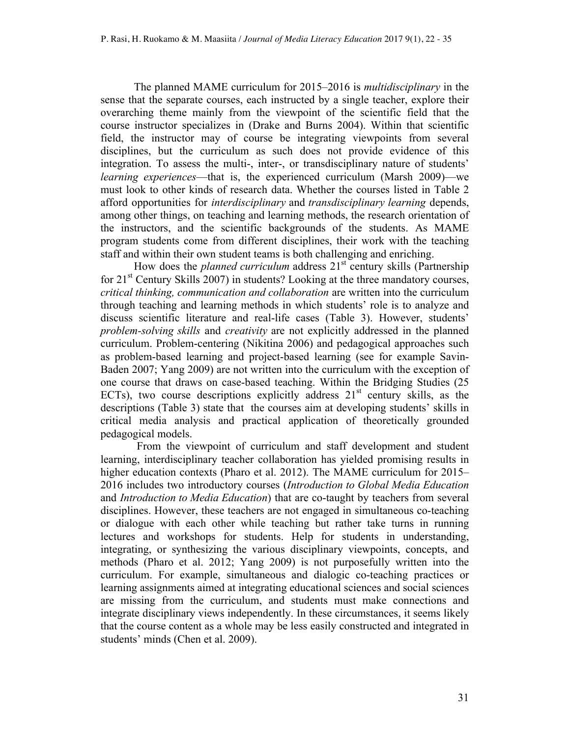The planned MAME curriculum for 2015–2016 is *multidisciplinary* in the sense that the separate courses, each instructed by a single teacher, explore their overarching theme mainly from the viewpoint of the scientific field that the course instructor specializes in (Drake and Burns 2004). Within that scientific field, the instructor may of course be integrating viewpoints from several disciplines, but the curriculum as such does not provide evidence of this integration. To assess the multi-, inter-, or transdisciplinary nature of students' *learning experiences*—that is, the experienced curriculum (Marsh 2009)—we must look to other kinds of research data. Whether the courses listed in Table 2 afford opportunities for *interdisciplinary* and *transdisciplinary learning* depends, among other things, on teaching and learning methods, the research orientation of the instructors, and the scientific backgrounds of the students. As MAME program students come from different disciplines, their work with the teaching staff and within their own student teams is both challenging and enriching.

How does the *planned curriculum* address  $21^{st}$  century skills (Partnership for  $21<sup>st</sup>$  Century Skills 2007) in students? Looking at the three mandatory courses, *critical thinking, communication and collaboration* are written into the curriculum through teaching and learning methods in which students' role is to analyze and discuss scientific literature and real-life cases (Table 3). However, students' *problem-solving skills* and *creativity* are not explicitly addressed in the planned curriculum. Problem-centering (Nikitina 2006) and pedagogical approaches such as problem-based learning and project-based learning (see for example Savin-Baden 2007; Yang 2009) are not written into the curriculum with the exception of one course that draws on case-based teaching. Within the Bridging Studies (25 ECTs), two course descriptions explicitly address  $21<sup>st</sup>$  century skills, as the descriptions (Table 3) state that the courses aim at developing students' skills in critical media analysis and practical application of theoretically grounded pedagogical models.

From the viewpoint of curriculum and staff development and student learning, interdisciplinary teacher collaboration has yielded promising results in higher education contexts (Pharo et al. 2012). The MAME curriculum for 2015– 2016 includes two introductory courses (*Introduction to Global Media Education* and *Introduction to Media Education*) that are co-taught by teachers from several disciplines. However, these teachers are not engaged in simultaneous co-teaching or dialogue with each other while teaching but rather take turns in running lectures and workshops for students. Help for students in understanding, integrating, or synthesizing the various disciplinary viewpoints, concepts, and methods (Pharo et al. 2012; Yang 2009) is not purposefully written into the curriculum. For example, simultaneous and dialogic co-teaching practices or learning assignments aimed at integrating educational sciences and social sciences are missing from the curriculum, and students must make connections and integrate disciplinary views independently. In these circumstances, it seems likely that the course content as a whole may be less easily constructed and integrated in students' minds (Chen et al. 2009).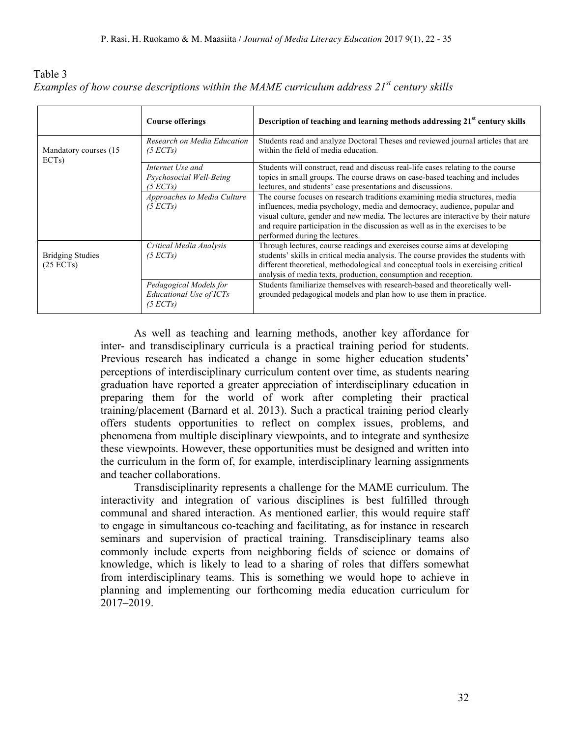| Table 3 |                                                                                                 |  |  |  |
|---------|-------------------------------------------------------------------------------------------------|--|--|--|
|         | Examples of how course descriptions within the MAME curriculum address $21^{st}$ century skills |  |  |  |

|                                      | <b>Course offerings</b>                                       | Description of teaching and learning methods addressing 21 <sup>st</sup> century skills                                                                                                                                                                                                                                                                          |
|--------------------------------------|---------------------------------------------------------------|------------------------------------------------------------------------------------------------------------------------------------------------------------------------------------------------------------------------------------------------------------------------------------------------------------------------------------------------------------------|
| Mandatory courses (15)<br>ECTs)      | Research on Media Education<br>(5 ECTs)                       | Students read and analyze Doctoral Theses and reviewed journal articles that are<br>within the field of media education.                                                                                                                                                                                                                                         |
|                                      | Internet Use and<br>Psychosocial Well-Being<br>(5 ECTs)       | Students will construct, read and discuss real-life cases relating to the course<br>topics in small groups. The course draws on case-based teaching and includes<br>lectures, and students' case presentations and discussions.                                                                                                                                  |
|                                      | Approaches to Media Culture<br>(5 ECTs)                       | The course focuses on research traditions examining media structures, media<br>influences, media psychology, media and democracy, audience, popular and<br>visual culture, gender and new media. The lectures are interactive by their nature<br>and require participation in the discussion as well as in the exercises to be<br>performed during the lectures. |
| <b>Bridging Studies</b><br>(25 ECTs) | Critical Media Analysis<br>(5 ECTs)                           | Through lectures, course readings and exercises course aims at developing<br>students' skills in critical media analysis. The course provides the students with<br>different theoretical, methodological and conceptual tools in exercising critical<br>analysis of media texts, production, consumption and reception.                                          |
|                                      | Pedagogical Models for<br>Educational Use of ICTs<br>(5 ECTs) | Students familiarize themselves with research-based and theoretically well-<br>grounded pedagogical models and plan how to use them in practice.                                                                                                                                                                                                                 |

As well as teaching and learning methods, another key affordance for inter- and transdisciplinary curricula is a practical training period for students. Previous research has indicated a change in some higher education students' perceptions of interdisciplinary curriculum content over time, as students nearing graduation have reported a greater appreciation of interdisciplinary education in preparing them for the world of work after completing their practical training/placement (Barnard et al. 2013). Such a practical training period clearly offers students opportunities to reflect on complex issues, problems, and phenomena from multiple disciplinary viewpoints, and to integrate and synthesize these viewpoints. However, these opportunities must be designed and written into the curriculum in the form of, for example, interdisciplinary learning assignments and teacher collaborations.

Transdisciplinarity represents a challenge for the MAME curriculum. The interactivity and integration of various disciplines is best fulfilled through communal and shared interaction. As mentioned earlier, this would require staff to engage in simultaneous co-teaching and facilitating, as for instance in research seminars and supervision of practical training. Transdisciplinary teams also commonly include experts from neighboring fields of science or domains of knowledge, which is likely to lead to a sharing of roles that differs somewhat from interdisciplinary teams. This is something we would hope to achieve in planning and implementing our forthcoming media education curriculum for 2017–2019.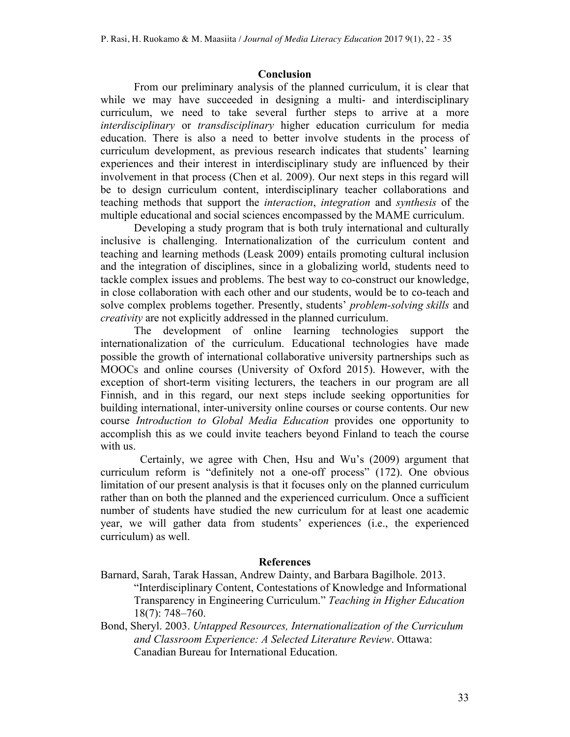## **Conclusion**

From our preliminary analysis of the planned curriculum, it is clear that while we may have succeeded in designing a multi- and interdisciplinary curriculum, we need to take several further steps to arrive at a more *interdisciplinary* or *transdisciplinary* higher education curriculum for media education. There is also a need to better involve students in the process of curriculum development, as previous research indicates that students' learning experiences and their interest in interdisciplinary study are influenced by their involvement in that process (Chen et al. 2009). Our next steps in this regard will be to design curriculum content, interdisciplinary teacher collaborations and teaching methods that support the *interaction*, *integration* and *synthesis* of the multiple educational and social sciences encompassed by the MAME curriculum.

Developing a study program that is both truly international and culturally inclusive is challenging. Internationalization of the curriculum content and teaching and learning methods (Leask 2009) entails promoting cultural inclusion and the integration of disciplines, since in a globalizing world, students need to tackle complex issues and problems. The best way to co-construct our knowledge, in close collaboration with each other and our students, would be to co-teach and solve complex problems together. Presently, students' *problem-solving skills* and *creativity* are not explicitly addressed in the planned curriculum.

The development of online learning technologies support the internationalization of the curriculum. Educational technologies have made possible the growth of international collaborative university partnerships such as MOOCs and online courses (University of Oxford 2015). However, with the exception of short-term visiting lecturers, the teachers in our program are all Finnish, and in this regard, our next steps include seeking opportunities for building international, inter-university online courses or course contents. Our new course *Introduction to Global Media Education* provides one opportunity to accomplish this as we could invite teachers beyond Finland to teach the course with us.

Certainly, we agree with Chen, Hsu and Wu's (2009) argument that curriculum reform is "definitely not a one-off process" (172). One obvious limitation of our present analysis is that it focuses only on the planned curriculum rather than on both the planned and the experienced curriculum. Once a sufficient number of students have studied the new curriculum for at least one academic year, we will gather data from students' experiences (i.e., the experienced curriculum) as well.

## **References**

- Barnard, Sarah, Tarak Hassan, Andrew Dainty, and Barbara Bagilhole. 2013. "Interdisciplinary Content, Contestations of Knowledge and Informational Transparency in Engineering Curriculum." *Teaching in Higher Education* 18(7): 748–760.
- Bond, Sheryl. 2003. *Untapped Resources, Internationalization of the Curriculum and Classroom Experience: A Selected Literature Review*. Ottawa: Canadian Bureau for International Education.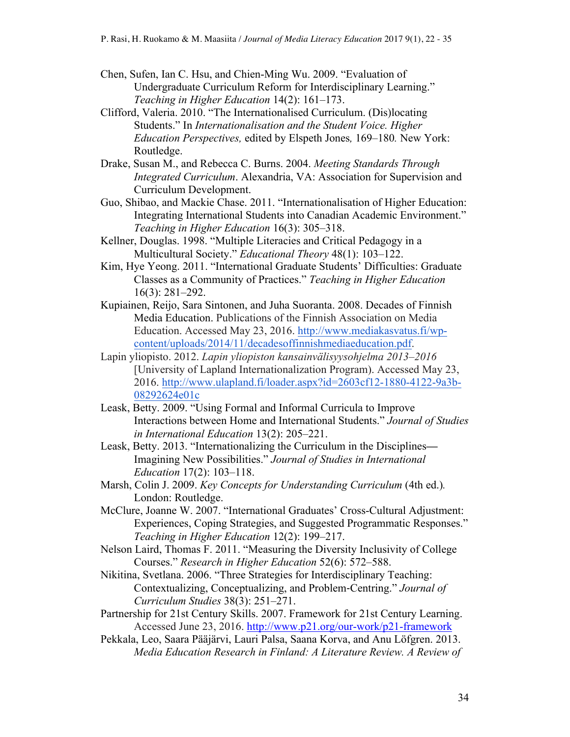- Chen, Sufen, Ian C. Hsu, and Chien-Ming Wu. 2009. "Evaluation of Undergraduate Curriculum Reform for Interdisciplinary Learning." *Teaching in Higher Education* 14(2): 161–173.
- Clifford, Valeria. 2010. "The Internationalised Curriculum. (Dis)locating Students." In *Internationalisation and the Student Voice. Higher Education Perspectives,* edited by Elspeth Jones*,* 169–180*.* New York: Routledge.
- Drake, Susan M., and Rebecca C. Burns. 2004. *Meeting Standards Through Integrated Curriculum*. Alexandria, VA: Association for Supervision and Curriculum Development.
- Guo, Shibao, and Mackie Chase. 2011. "Internationalisation of Higher Education: Integrating International Students into Canadian Academic Environment." *Teaching in Higher Education* 16(3): 305–318.
- Kellner, Douglas. 1998. "Multiple Literacies and Critical Pedagogy in a Multicultural Society." *Educational Theory* 48(1): 103–122.
- Kim, Hye Yeong. 2011. "International Graduate Students' Difficulties: Graduate Classes as a Community of Practices." *Teaching in Higher Education*  16(3): 281–292.
- Kupiainen, Reijo, Sara Sintonen, and Juha Suoranta. 2008. Decades of Finnish Media Education. Publications of the Finnish Association on Media Education. Accessed May 23, 2016. http://www.mediakasvatus.fi/wpcontent/uploads/2014/11/decadesoffinnishmediaeducation.pdf.
- Lapin yliopisto. 2012. *Lapin yliopiston kansainvälisyysohjelma 2013–2016* [University of Lapland Internationalization Program). Accessed May 23, 2016. http://www.ulapland.fi/loader.aspx?id=2603cf12-1880-4122-9a3b-08292624e01c
- Leask, Betty. 2009. "Using Formal and Informal Curricula to Improve Interactions between Home and International Students." *Journal of Studies in International Education* 13(2): 205–221.
- Leask, Betty. 2013. "Internationalizing the Curriculum in the Disciplines**—** Imagining New Possibilities." *Journal of Studies in International Education* 17(2): 103–118.
- Marsh, Colin J. 2009. *Key Concepts for Understanding Curriculum* (4th ed.)*.*  London: Routledge.
- McClure, Joanne W. 2007. "International Graduates' Cross-Cultural Adjustment: Experiences, Coping Strategies, and Suggested Programmatic Responses." *Teaching in Higher Education* 12(2): 199–217.
- Nelson Laird, Thomas F. 2011. "Measuring the Diversity Inclusivity of College Courses." *Research in Higher Education* 52(6): 572–588.
- Nikitina, Svetlana. 2006. "Three Strategies for Interdisciplinary Teaching: Contextualizing, Conceptualizing, and Problem-Centring." *Journal of Curriculum Studies* 38(3): 251–271.
- Partnership for 21st Century Skills. 2007. Framework for 21st Century Learning. Accessed June 23, 2016. http://www.p21.org/our-work/p21-framework
- Pekkala, Leo, Saara Pääjärvi, Lauri Palsa, Saana Korva, and Anu Löfgren. 2013. *Media Education Research in Finland: A Literature Review. A Review of*